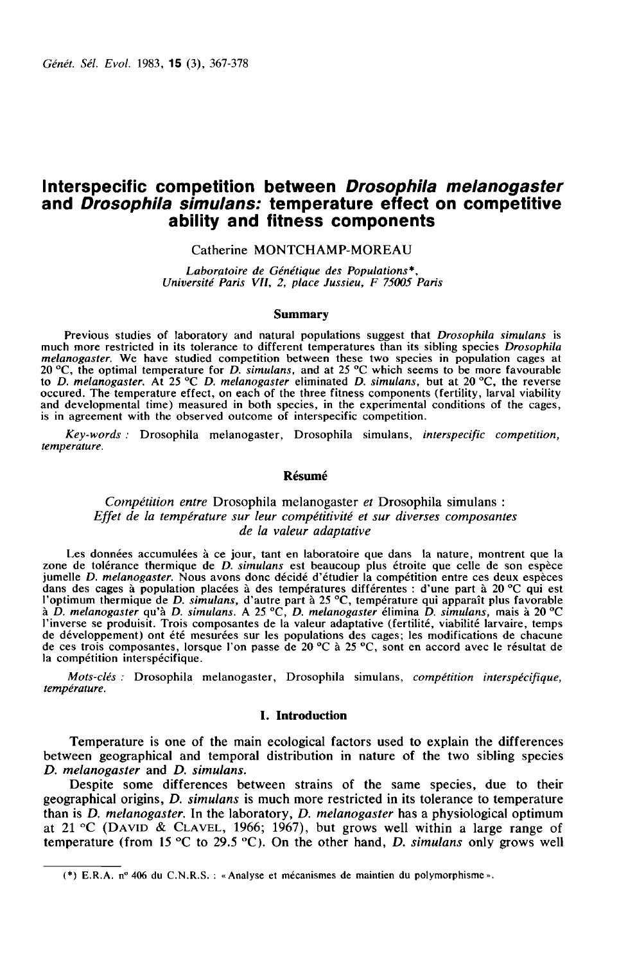# Interspecific competition between Drosophila melanogaster and Drosophila simulans: temperature effect on competitive ability and fitness components **n Drosopn<br>rature effect<br>componen**<br>MP-MOREAU<br>*des Populations*\*,<br>Jussieu, F 75005

# Catherine MONTCHAMP-MOREAU

Université Paris VII, 2, place Jussieu, F 75005 Paris Laboratoire de Génétique

#### Summary

Previous studies of laboratory and natural populations suggest that *Drosophila simulans* is<br>much more restricted in its tolerance to different temperatures than its sibling species *Drosophila* melanogaster. We have studied competition between these two species in population cages at 20 °C, the optimal temperature for D. simulans, and at 25 °C which seems to be more favourable to D. melanogaster. At 25  $^{\circ}$ C D. melanogaster eliminated D. simulans, but at 20  $^{\circ}$ C, the reverse occured. The temperature effect, on each of the three fitness components (fertility, larval viability and developmental time) measured in both species, in the experimental conditions of the cages, is in agreement with the observed outcome of interspecific competition.

Key-words : Drosophila melanogaster, Drosophila simulans, interspecific competition, temperature.

## Résumé

# Compétition entre Drosophila melanogaster et Drosophila simulans : Effet de la température sur leur compétitivité et sur diverses composantes de la valeur adaptative

Les données accumulées à ce jour, tant en laboratoire que dans la nature, montrent que la zone de tolérance thermique de D. simulans est beaucoup plus étroite que celle de son espèce jumelle D. melanogaster. Nous avons donc décidé d'étudier la compétition entre ces deux espèces dans des cages à population placées à des températures différentes : d'une part à 20 °C qui est<br>l'optimum thermique de *D. simulans*, d'autre part à 25 °C, température qui apparaît plus favorable<br>à *D. melanogaster* qu'à de développement) ont été mesurées sur les populations des cages; les modifications de chacune<br>de ces trois composantes, lorsque l'on passe de 20 °C à 25 °C, sont en accord avec le résultat de la compétition interspécifique.

Mots-clés : Drosophila melanogaster, Drosophila simulans, compétition interspécifique, température.

### I. Introduction

Temperature is one of the main ecological factors used to explain the differences between geographical and temporal distribution in nature of the two sibling species D. melanogaster and D. simulans.

Despite some differences between strains of the same species, due to their geographical origins, *D. simulans* is much more restricted in its tolerance to temperature than is *D. melanogaster*. In the laboratory, *D. melanogaster* has a physiological optimum D. melanogaster and D. simulans.<br>Despite some differences between strains of the same species, due to their<br>geographical origins, D. simulans is much more restricted in its tolerance to temperature<br>than is D. melanogaster

<sup>(\*)</sup> E.R.A. n°406 du C.N.R.S. : «Analyse et mécanismes de maintien du polymorphisme».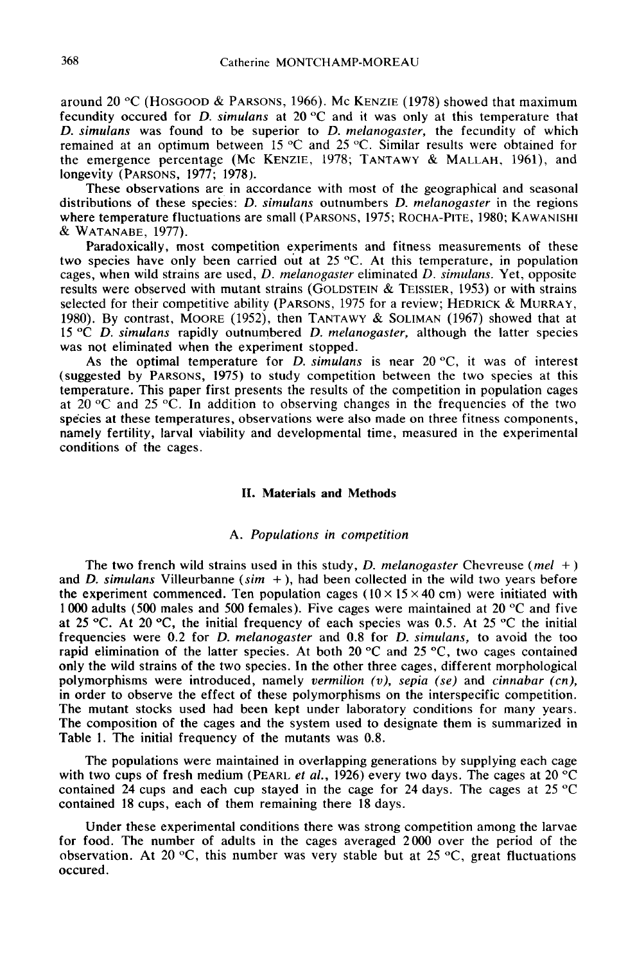368 Catherine MONTCHAMP-MOREAU<br>around 20 °C (HOSGOOD & PARSONS, 1966). Mc KENZIE (1978) showed that maximum fecundity occured for *D. simulans* at 20  $^{\circ}$ C and it was only at this temperature that D. simulans was found to be superior to D. melanogaster, the fecundity of which remained at an optimum between 15 °C and 25 °C. Similar results were obtained for around 20 °C (HOSGOOD & PARSONS, 1966). Mc KENZIE (1978) showed that maximum<br>fecundity occured for *D. simulans* at 20 °C and it was only at this temperature that<br>*D. simulans* was found to be superior to *D. melanogaster* longevity (PARSONS, 1977; 1978). D. simulans was found to be superior to D. melanogaster, the fecundity of which<br>remained at an optimum between 15 °C and 25 °C. Similar results were obtained for<br>the emergence percentage (Mc KENZIE, 1978; TANTAWY & MALLAH

These observations are in accordance with most of the geographical and seasonal distributions of these species: *D. simulans* outnumbers *D. melanogaster* in the regions where temperature fluctuations are small (PARSONS, 1975; ROCHA-PITE, 1980; KAWANISHI remained at an optin<br>the emergence perce<br>longevity (PARSONS,<br>distributions of these<br>where temperature flu<br>& WATANABE, 1977).<br>Paradoxically, m

Paradoxically, most competition experiments and fitness measurements of these species have only been carried out at 25 °C. At this temperature, in population, s, when wild strains are used, *D. melanogaster* eliminated *D* two species have only been carried out at 25 °C. At this temperature, in population cages, when wild strains are used,  $D$ . melanogaster eliminated  $D$ . simulans. Yet, opposite results were observed with mutant strains (GOLDSTEIN & TEISSIER, 1953) or with strains selected for their competitive ability (PARSONS,  $1975$  for a review; HEDRICK  $\alpha$ 1980). By contrast, MOORE (1952), then  $T_{\text{ANTAWY}}$  & SOLIMAN (1967) showed that at 15 °C D. simulans rapidly outnumbered D. melanogaster, although the latter species was not eliminated when the experiment stopped.

As the optimal temperature for D. simulans is near  $20^{\circ}\text{C}$ , it was of interest (suggested by PARSONS, 1975) to study competition between the two species at this temperature. This paper first presents the results of the competition in population cages at 20  $\degree$ C and 25  $\degree$ C. In addition to observing changes in the frequencies of the two species at these temperatures, observations were also made on three fitness components, namely fertility, larval viability and developmental time, measured in the experimental conditions of the cages.

# II. Materials and Methods

## A. Populations in competition

The two french wild strains used in this study, D. melanogaster Chevreuse (mel +) and D. simulans Villeurbanne (sim  $+$ ), had been collected in the wild two years before the experiment commenced. Ten population cages ( $10 \times 15 \times 40$  cm) were initiated with 1000 adults (500 males and 500 females). Five cages were maintained at 20 °C and five at 25 °C. At 20 °C, the initial frequency of each species was 0.5. At 25 °C the initial frequencies were 0.2 for D. melanogaster and 0.8 for D. simulans, to avoid the too rapid elimination of the latter species. At both 20  $\degree$ C and 25  $\degree$ C, two cages contained only the wild strains of the two species. In the other three cages, different morphological polymorphisms were introduced, namely vermilion  $(v)$ , sepia (se) and cinnabar (cn), in order to observe the effect of these polymorphisms on the interspecific competition. The mutant stocks used had been kept under laboratory conditions for many years. The composition of the cages and the system used to designate them is summarized in Table 1. The initial frequency of the mutants was 0.8.

The populations were maintained in overlapping generations by supplying each cage with two cups of fresh medium (PEARL *et al.*, 1926) every two days. The cages at 20  $^{\circ}$ C contained 24 cups and each cup stayed in the cage for 24 days. The cages at 25 °C contained 18 cups, each of them remaining there 18 days.

Under these experimental conditions there was strong competition among the larvae for food. The number of adults in the cages averaged 2000 over the period of the observation. At 20 °C, this number was very stable but at 25 °C, great fluctuations occured.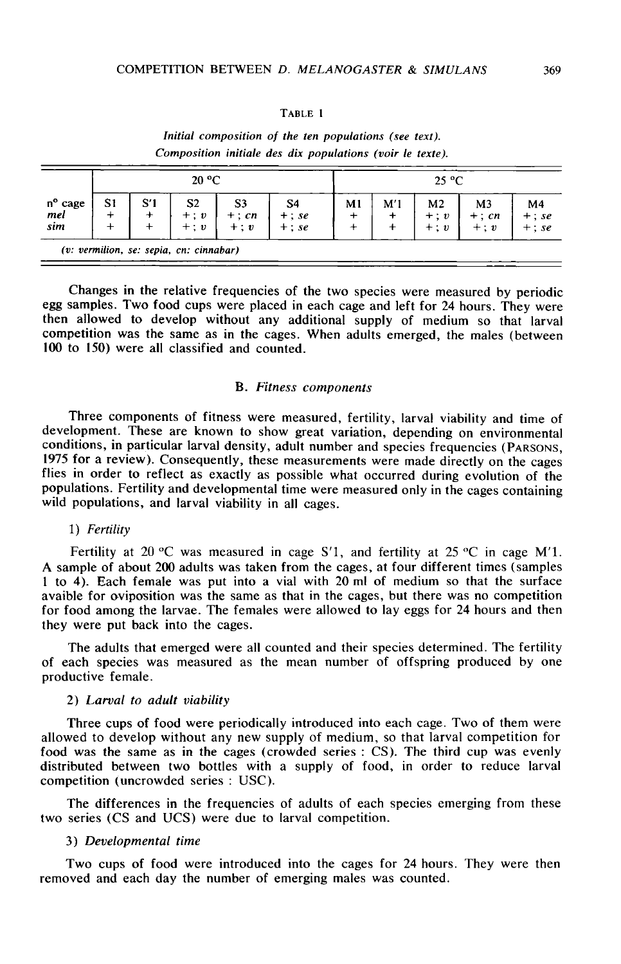## TABLE 1

|                                | 20 °C |     |                                                                    |                                   |                                        |    | $25^{\circ}$ C |                                      |                       |                                        |  |  |
|--------------------------------|-------|-----|--------------------------------------------------------------------|-----------------------------------|----------------------------------------|----|----------------|--------------------------------------|-----------------------|----------------------------------------|--|--|
| $n^{\circ}$ cage<br>mel<br>sim | S1    | S′1 | S <sub>2</sub><br>$+$ ; $\boldsymbol{v}$<br>$+$ ; $\boldsymbol{v}$ | S <sub>3</sub><br>$+:cn$<br>$+:v$ | S <sub>4</sub><br>$+ : se$<br>$+ : se$ | M1 | M'1            | M <sub>2</sub><br>$+ : v$<br>$+ : v$ | M3<br>$+:cn$<br>$+:v$ | M <sub>4</sub><br>$+$ ; se<br>$+$ : se |  |  |
|                                |       |     | (v: vermilion, se: sepia, cn: cinnabar)                            |                                   |                                        |    |                |                                      |                       |                                        |  |  |

Initial composition of the ten populations (see text). Composition initiale des dix populations (voir le texte).

Changes in the relative frequencies of the two species were measured by periodic egg samples. Two food cups were placed in each cage and left for 24 hours. They were then allowed to develop without any additional supply of medium so that larval competition was the same as in the cages. When adults emerged, the males (between 100 to 150) were all classified and counted.

## B. Fitness components

Three components of fitness were measured, fertility, larval viability and time of development. These are known to show great variation, depending on environmental conditions, in particular larval density, adult number and species frequencies (PARSONS, 1975 for a review). Consequently, these measurements were made directly on the cages flies in order to reflect as exactly as possible what occurred during evolution of the populations. Fertility and developmental time were measured only in the cages containing wild populations, and larval viability in all cages.

## 1) Fertility

Fertility at 20 °C was measured in cage S'1, and fertility at 25 °C in cage M'1. A sample of about 200 adults was taken from the cages, at four different times (samples 1 to 4). Each female was put into a vial with 20 ml of medium so that the surface avaible for oviposition was the same as that in the cages, but there was no competition for food among the larvae. The females were allowed to lay eggs for 24 hours and then they were put back into the cages.

The adults that emerged were all counted and their species determined. The fertility of each species was measured as the mean number of offspring produced by one productive female.

# 2) Larval to adult viability

Three cups of food were periodically introduced into each cage. Two of them were allowed to develop without any new supply of medium, so that larval competition for food was the same as in the cages (crowded series : CS). The third cup was evenly distributed between two bottles with a supply of food, in order to reduce larval competition (uncrowded series : USC).

The differences in the frequencies of adults of each species emerging from these two series (CS and UCS) were due to larval competition.

# 3) Developmental time

Two cups of food were introduced into the cages for 24 hours. They were then removed and each day the number of emerging males was counted.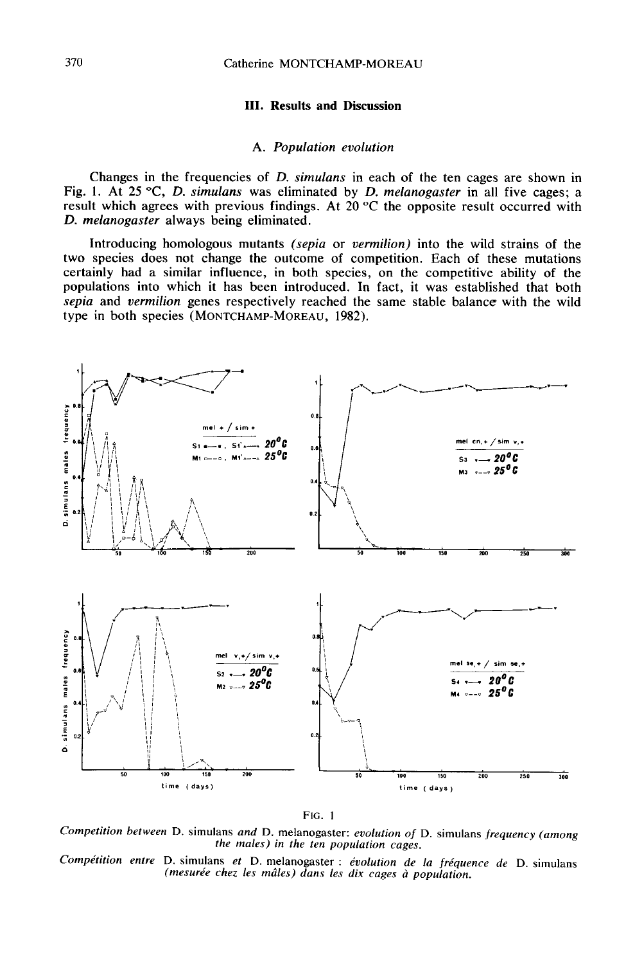## III. Results and Discussion

## A. Population evolution

Changes in the frequencies of D. simulans in each of the ten cages are shown in Fig. 1. At 25 °C, D. simulans was eliminated by D. melanogaster in all five cages; a result which agrees with previous findings. At  $20^{\circ}$ C the opposite result occurred with D. melanogaster always being eliminated.

Introducing homologous mutants (sepia or vermilion) into the wild strains of the two species does not change the outcome of competition. Each of these mutations certainly had a similar influence, in both species, on the competitive ability of the populations into which it has been introduced. In fact, it was established that both sepia and vermilion genes respectively reached the same stable balance with the wild type in both species (MONTCHAMP-MOREAU, 1982). A. Population evolution<br>
Fig. 1. At 25 °C, D. simulans was eliminated by D. melanogaster<br>
result which agrees with previous findings. At 20 °C the opposite result which agrees with previous findings. At 20 °C the opposite



FIG. 1

Competition between D. simulans and D. melanogaster: evolution of D. simulans frequency (among the males) in the ten population cages.

Compétition entre D. simulans et D. melanogaster : évolution de la fréquence de D. simulans (mesurée chez les mâles) dans les dix cages à population.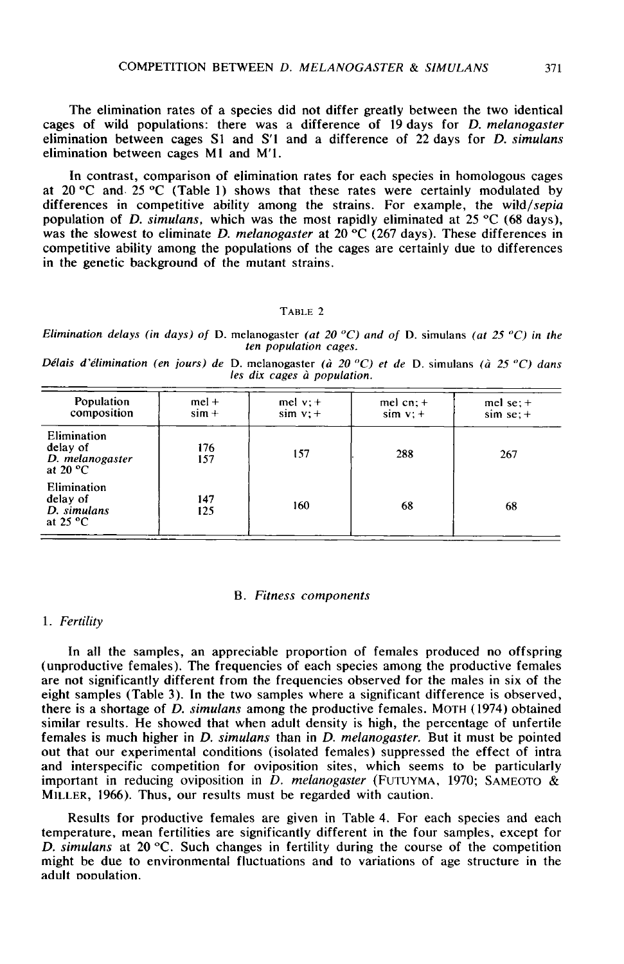The elimination rates of a species did not differ greatly between the two identical cages of wild populations: there was a difference of 19 days for D. melanogaster elimination between cages Sl and S'l and a difference of 22 days for D. simulans elimination between cages M1 and M'I.

In contrast, comparison of elimination rates for each species in homologous cages at 20  $\degree$ C and 25  $\degree$ C (Table 1) shows that these rates were certainly modulated by differences in competitive ability among the strains. For example, the wild/sepia population of *D. simulans*, which was the most rapidly eliminated at 25 °C (68 days), was the slowest to eliminate D. melanogaster at 20  $\degree$ C (267 days). These differences in competitive ability among the populations of the cages are certainly due to differences in the genetic background of the mutant strains.

## TABLE 2

Elimination delays (in days) of D. melanogaster (at 20  $^{\circ}$ C) and of D. simulans (at 25  $^{\circ}$ C) in the ten population cages.

Délais d'élimination (en jours) de D. melanogaster (à 20 °C) et de D. simulans (à 25 °C) dans les dix cages à population.

| Population<br>composition                                       | $mel +$<br>$\sin +$ | mel $v: +$<br>$sim v: +$ | mel $cn; +$<br>$sim v: +$ | mel se; $+$<br>$sim$ se; $+$ |
|-----------------------------------------------------------------|---------------------|--------------------------|---------------------------|------------------------------|
| Elimination<br>delay of<br>D. melanogaster<br>at 20 $\degree$ C | 176<br>157          | 157                      | 288                       | 267                          |
| Elimination<br>delay of<br>D. simulans<br>at $25 °C$            | 147<br>125          | 160                      | 68                        | 68                           |

## B. Fitness components

# 1. Fertility

In all the samples, an appreciable proportion of females produced no offspring (unproductive females). The frequencies of each species among the productive females are not significantly different from the frequencies observed for the males in six of the eight samples (Table 3). In the two samples where a significant difference is observed, there is a shortage of D. simulans among the productive females. MOTH (1974) obtained similar results. He showed that when adult density is high, the percentage of unfertile females is much higher in *D. simulans* than in *D. melanogaster*. But it must be pointed out that our experimental conditions (isolated females) suppressed the effect of intra and interspecific competition for oviposition sites, which seems to be particularly important in reducing oviposition in  $D$ . melanogaster (FUTUYMA, 1970; SAMEOTO & important in reducing over the showed that when adult density is high, the percentage of unfertiferenales is much higher in *D. simulans* than in *D. melanogaster*. But it must be pointed out that our experimental conditi MILLER, 1966). Thus, our results must be regarded with caution.

Results for productive females are given in Table 4. For each species and each temperature, mean fertilities are significantly different in the four samples, except for D. simulans at 20  $\degree$ C. Such changes in fertility during the course of the competition might be due to environmental fluctuations and to variations of age structure in the adult oooulation.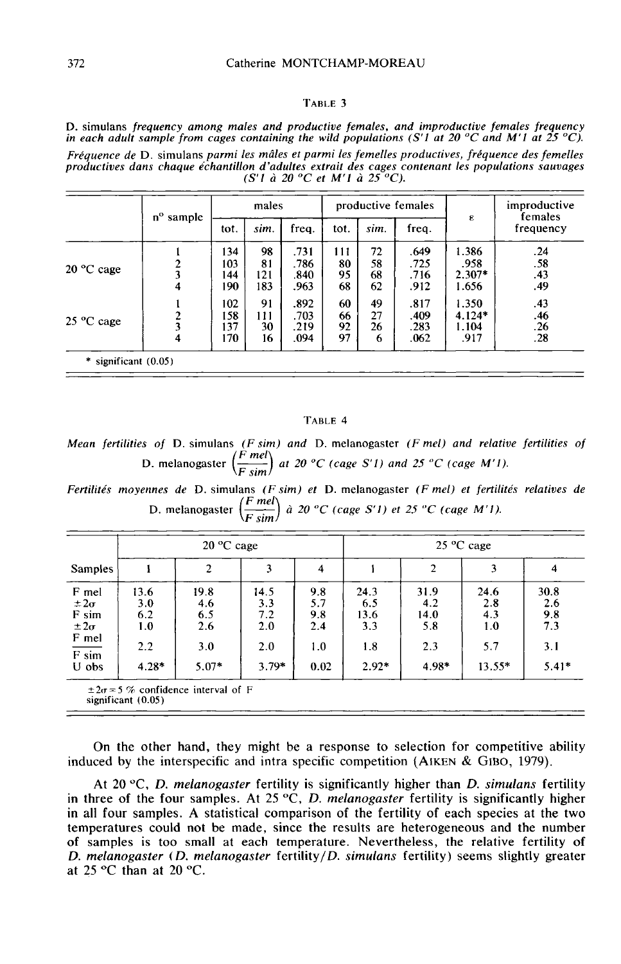#### TABLE 3

D. simulans frequency among males and productive females, and improductive females frequency in each adult sample from cages containing the wild populations (S'1 at 20 °C and M'1 at 25 °C). Fréquence de D. simulans parmi les mâles et parmi les femelles productives, fréquence des femelles productives dans chaque échantillon d'adultes extrait des cages contenant les populations sauvages  $(S'1 \t\hat{a} 20 \t C \t{et} M'1 \t\hat{a} 25 \t C).$ 

|                      | n°<br>sample            | males |      |       | productive females |      |       |          | improductive<br>females |
|----------------------|-------------------------|-------|------|-------|--------------------|------|-------|----------|-------------------------|
|                      |                         | tot.  | sim. | freg. | tot.               | sim. | freq. | ε        | frequency               |
|                      |                         | 134   | 98   | .731  | 111                | 72   | .649  | 1.386    | .24                     |
|                      | 2                       | 103   | 81   | .786  | 80                 | 58   | .725  | .958     | .58                     |
| $20^{\circ}$ C cage  |                         | 144   | 121  | .840  | 95                 | 68   | .716  | $2.307*$ | .43                     |
|                      | 4                       | 190   | 183  | .963  | 68                 | 62   | .912  | 1.656    | .49                     |
|                      |                         | 102   | 91   | .892  | 60                 | 49   | .817  | 1.350    | .43                     |
|                      |                         | 158   | 111  | .703  | 66                 | 27   | .409  | $4.124*$ | .46                     |
| $25 \text{ °C}$ cage | $\overline{\mathbf{3}}$ | 137   | 30   | .219  | 92                 | 26   | .283  | 1.104    | .26                     |
|                      | 4                       | 170   | 16   | .094  | 97                 | 6    | .062  | .917     | .28                     |

#### TABLE 4

*Mean fertilities of* D. simulans (*F sim*) and D. melanogaster (*F mel*) and relative fertilities of<br>D. melanogaster  $\left(\frac{F \text{ mel}}{F \text{ sim}}\right)$  at 20 °C (cage S'1) and 25 °C (cage M'1).

Fertilités moyennes de D. simulans (F sim) et D. melanogaster (F mel) et fertilités relatives de D. melanogaster  $\left(\frac{F \text{ mel}}{F \text{ sim}}\right)$  à 20 °C (cage S'1) et 25 °C (cage M'1).

|                                                  |                           | $20^{\circ}$ C cage       |                           |                          | $25 \text{ °C}$ cage       |                            |                           |                           |  |
|--------------------------------------------------|---------------------------|---------------------------|---------------------------|--------------------------|----------------------------|----------------------------|---------------------------|---------------------------|--|
| <b>Samples</b>                                   |                           | 2                         |                           | 4                        |                            | $\mathbf{2}$               | 3                         | 4                         |  |
| F mel<br>$\pm 2\sigma$<br>F sim<br>$\pm 2\sigma$ | 13.6<br>3.0<br>6.2<br>1.0 | 19.8<br>4.6<br>6.5<br>2.6 | 14.5<br>3.3<br>7.2<br>2.0 | 9.8<br>5.7<br>9.8<br>2.4 | 24.3<br>6.5<br>13.6<br>3.3 | 31.9<br>4.2<br>14.0<br>5.8 | 24.6<br>2.8<br>4.3<br>1.0 | 30.8<br>2.6<br>9.8<br>7.3 |  |
| F mel<br>$\overline{F \sin}$<br>U obs            | $2.2^{\circ}$<br>$4.28*$  | 3.0<br>$5.07*$            | 2.0<br>$3.79*$            | 1.0<br>0.02              | 1.8<br>$2.92*$             | 2.3<br>$4.98*$             | 5.7<br>$13.55*$           | 3.1<br>$5.41*$            |  |

significant  $(0.05)$ 

On the other hand, they might be a response to selection for competitive ability induced by the interspecific and intra specific competition (AIKEN  $&$  GIBO, 1979).

At 20 °C, D. melanogaster fertility is significantly higher than D. simulans fertility in three of the four samples. At 25  $\rm ^oC$ , *D. melanogaster* fertility is significantly higher in all four samples. A statistical comparison of the fertility of each species at the two temperatures could not be made, since the results are heterogeneous and the number of samples is too small at each temperature. Nevertheless, the relative fertility of D. melanogaster (D. melanogaster fertility/D. simulans fertility) seems slightly greater at 25 °C than at 20 °C.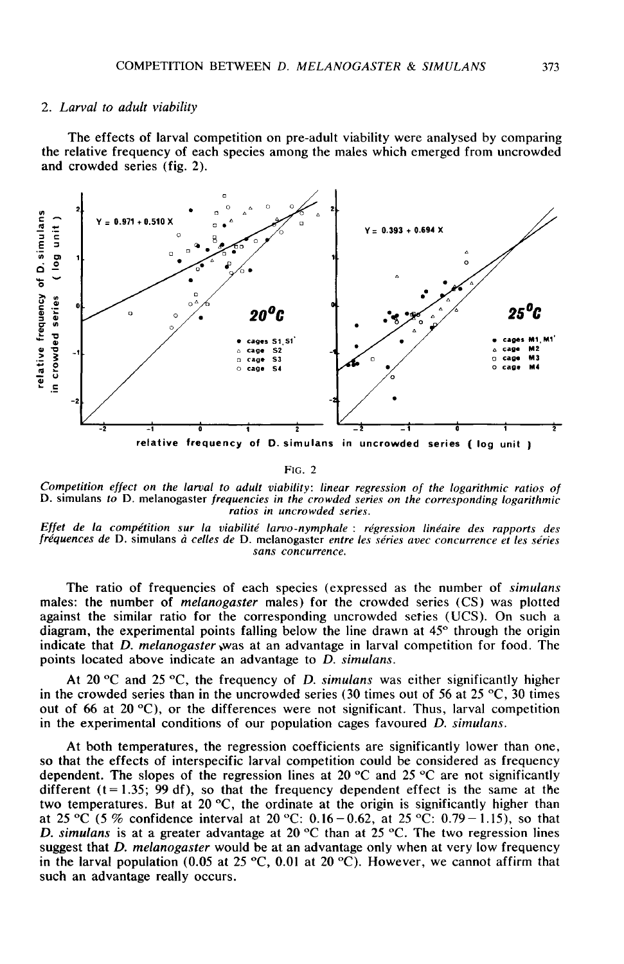## 2. Larval to adult viability

The effects of larval competition on pre-adult viability were analysed by comparing the relative frequency of each species among the males which emerged from uncrowded and crowded series (fig. 2).



FIG. 2

Competition effect on the larval to adult viability: linear regression of the logarithmic ratios of D. simulans to D. melanogaster frequencies in the crowded series on the corresponding logarithmic

The ratio of frequencies of each species (expressed as the number of simulans males: the number of melanogaster males) for the crowded series (CS) was plotted against the similar ratio for the corresponding uncrowded series (UCS). On such a diagram, the experimental points falling below the line drawn at  $45^\circ$  through the origin indicate that *D. melanogaster* was at an advantage in larval competition for food. The Effet de la compétition sur la viabilité larvo-nunce sens.<br>
fréquences de D. simulans à celles de D. melanogaster entre les séries avec concurrence et les séries<br>
sans concurrence.<br>
The ratio of frequencies of each specie points located above indicate an advantage to D. simulans.

At 20  $\degree$ C and 25  $\degree$ C, the frequency of *D. simulans* was either significantly higher in the crowded series than in the uncrowded series (30 times out of 56 at 25  $\degree$ C, 30 times out of 66 at 20  $^{\circ}$ C), or the differences were not significant. Thus, larval competition in the experimental conditions of our population cages favoured D. simulans.

At both temperatures, the regression coefficients are significantly lower than one, so that the effects of interspecific larval competition could be considered as frequency dependent. The slopes of the regression lines at 20 °C and 25 °C are not significantly different ( $t=1.35$ ; 99 df), so that the frequency dependent effect is the same at the two temperatures. But at 20  $^{\circ}$ C, the ordinate at the origin is significantly higher than at 25 °C (5 % confidence interval at 20 °C: 0.16 – 0.62, at 25 °C: 0.79 – 1.15), so that D. simulans is at a greater advantage at 20 °C than at 25 °C. The two regression lines suggest that D. melanogaster would be at an advantage only when at very low frequency in the larval population (0.05 at 25 °C, 0.01 at 20 °C). However, we cannot affirm that such an advantage really occurs.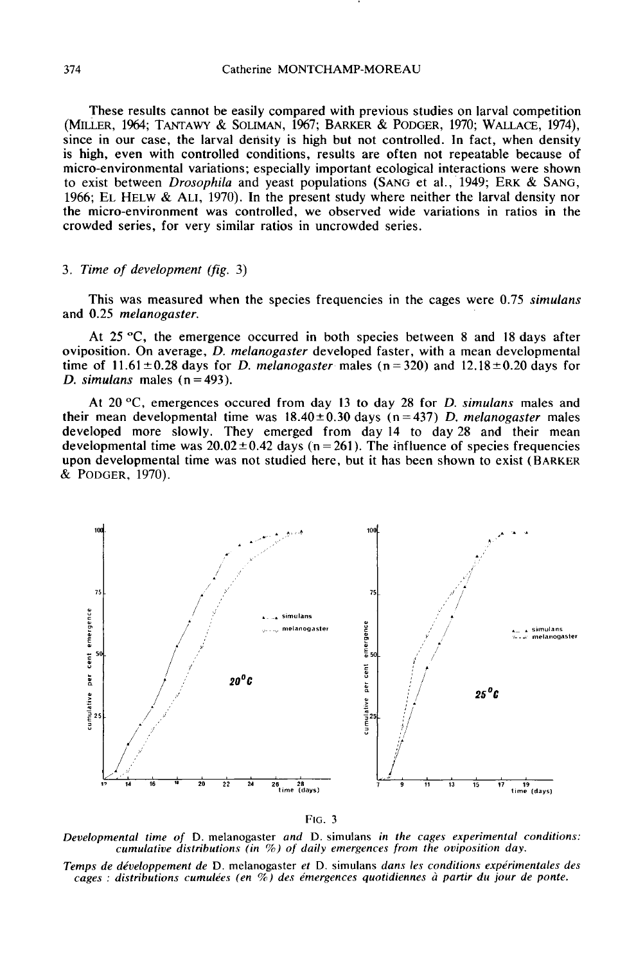These results cannot be easily compared with previous studies on larval competition (MILLER, 1964; TANTAWY & SOLIMAN, 1967; BARKER & PODGER, 1970; WALLACE, 1974), since in our case, the larval density is high but not controlled. In fact, when density is high, even with controlled conditions, results are often not repeatable because of is ingli, even with continuous, results are often not repeatable because on<br>micro-environmental variations; especially important ecological interactions were shown<br>to exist between *Drosophila* and yeast populations (SANG the micro-environment was controlled, we observed wide variations in ratios in the crowded series, for very similar ratios in uncrowded series.

## 3. Time of development (fig. 3)

This was measured when the species frequencies in the cages were 0.75 simulans and 0.25 melanogaster.

At 25 °C, the emergence occurred in both species between 8 and 18 days after oviposition. On average, D. melanogaster developed faster, with a mean developmental time of  $11.61 \pm 0.28$  days for D. melanogaster males (n=320) and  $12.18 \pm 0.20$  days for D. simulans males  $(n=493)$ .

At 20 °C, emergences occured from day 13 to day 28 for D. simulans males and their mean developmental time was  $18.40 \pm 0.30$  days (n=437) D. melanogaster males developed more slowly. They emerged from day 14 to day 28 and their mean developmental time was  $20.02 \pm 0.42$  days (n = 261). The influence of species frequencies upon developmental time was not studied here, but it has been shown to exist (BARKER  $&$  PODGER, 1970). their mean develo<br>developed more<br>developmental tim<br>upon development<br>& PODGER, 1970).





Developmental time of D. melanogaster and D. simulans in the cages experimental conditions: cumulative distributions (in  $\%$ ) of daily emergences from the oviposition day.

Temps de développement de D. melanogaster et D. simulans dans les conditions expérimentales des cages : distributions cumulées (en %) des émergences quotidiennes à partir du jour de ponte.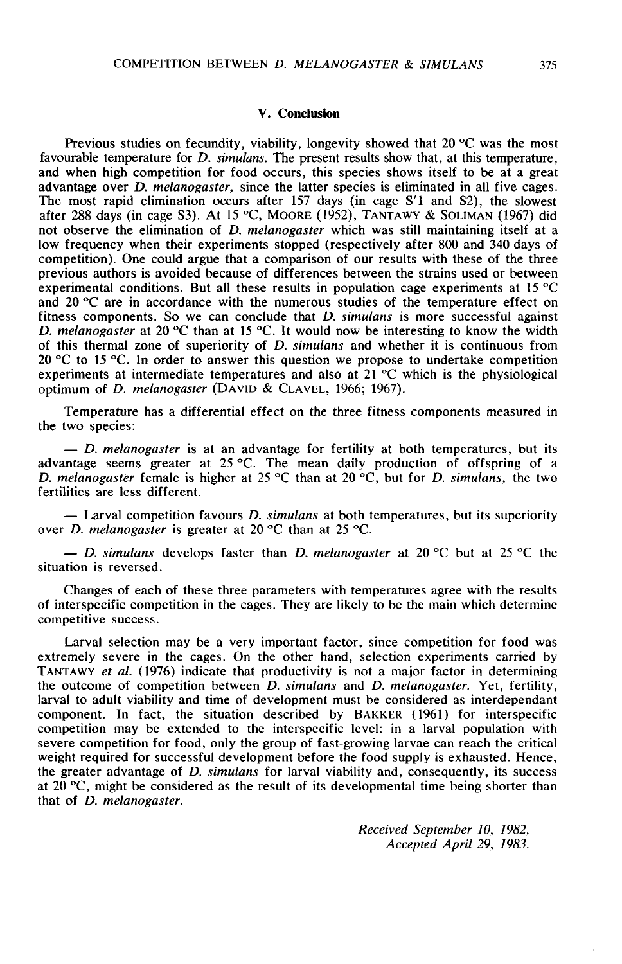## V. Conclusion

Previous studies on fecundity, viability, longevity showed that 20  $\degree$ C was the most favourable temperature for D. simulans. The present results show that, at this temperature, and when high competition for food occurs, this species shows itself to be at a great advantage over D. melanogaster, since the l and when high competition for food occurs, this species shows itself to be at a great advantage over D. melanogaster, since the latter species is eliminated in all five cages. The most rapid elimination occurs after 157 days (in cage S'1 and S2), the slowest after 288 days (in cage S3). At 15 °C, MOORE (1952), TANTAWY & SOLIMAN (1967) did not observe the elimination of *D. melanogaster* which was still maintaining itself at a low frequency when their experiments stopped (respectively after 800 and 340 days of competition). One could argue that a comparison of our results with these of the three previous authors is avoided because of differences between the strains used or between experimental conditions. But all these results in population cage experiments at 15 °C and 20 °C are in accordance with the numerous studies of the temperature effect on fitness components. So we can conclude that  $D$ , simulans is more successful against D. melanogaster at 20 °C than at 15 °C. It would now be interesting to know the width of this thermal zone of superiority of D. simulans and whether it is continuous from 20 °C to 15 °C. In order to answer this question we propose to undertake competition experiments at intermediate temperatures and also at 21 °C which is the physiological optimum of D. melanogaster (DAVID & CLAVEL, 1966; 1967).

Temperature has a differential effect on the three fitness components measured in the two species:

 $-$  D. melanogaster is at an advantage for fertility at both temperatures, but its advantage seems greater at 25 °C. The mean daily production of offspring of a D. melanogaster female is higher at 25 °C than at 20 °C, but for D. simulans, the two fertilities are less different.

- Larval competition favours D. simulans at both temperatures, but its superiority over *D. melanogaster* is greater at 20 °C than at 25 °C.

 $-$  D. simulans develops faster than D. melanogaster at 20 °C but at 25 °C the situation is reversed.

Changes of each of these three parameters with temperatures agree with the results of interspecific competition in the cages. They are likely to be the main which determine competitive success.

Larval selection may be a very important factor, since competition for food was extremely severe in the cages. On the other hand, selection experiments carried by TANTAWY et al. (1976) indicate that productivity is not a major factor in determining the outcome of competition between  $D$ , simulans and  $D$ , melanogaster. Yet, fertility, larval to adult viability and time of development must be considered as interdependant component. In fact, the situation described by BAKKER (1961) for interspecific competition may be extended to the interspecific level: in a larval population with severe competition for food, only the group of fast-growing larvae can reach the critical weight required for successful development before the food supply is exhausted. Hence, the greater advantage of D. simulans for larval viability and, consequently, its success at 20  $\degree$ C, might be considered as the result of its developmental time being shorter than that of D. melanogaster.

> Received September 10, 1982, Accepted April 29, 1983.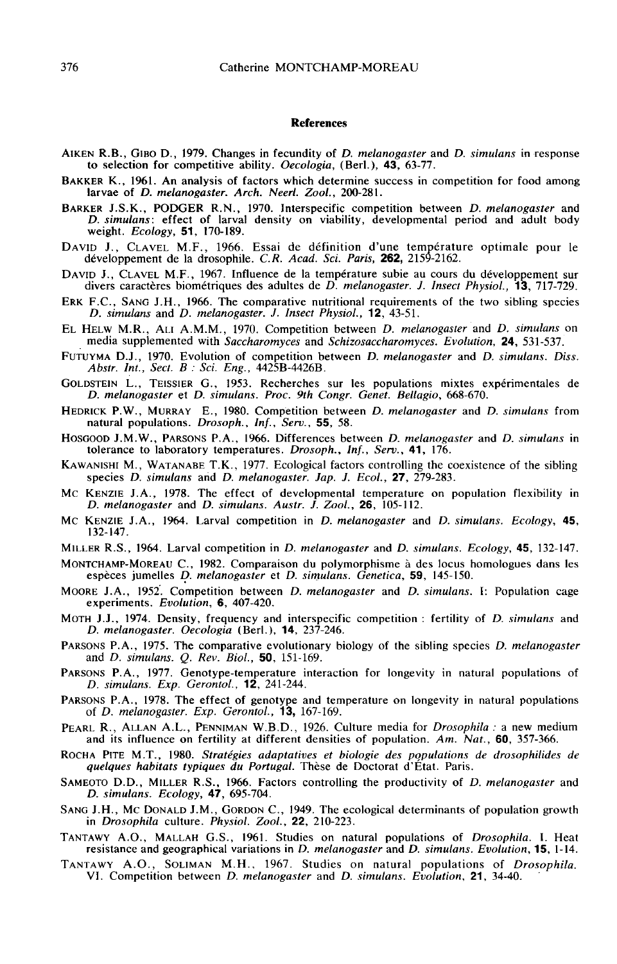#### References

- **References**<br>AIKEN R.B., GIBO D., 1979. Changes in fecundity of *D. melanogaster* and *D. simulans* in response<br>to selection for competitive ability. *Oecologia*. (Berl.). **43.** 63-77. to selection for competitive ability. Oecologia, (Berl.), 43, 63-77. AIKEN R.B., GIBO D., 1979. Changes in fecundity of *D. melanogaster* and *D. simulans* in response to selection for competitive ability. *Oecologia*, (Berl.), 43, 63-77.<br>BAKKER K., 1961. An analysis of factors which determ
- larvae of D. melanogaster. Arch. Neerl. Zool., 200-281.
- BARKER J.S.K., PODGER R.N., 1970. Interspecific competition between D. melanogaster and D. simulans: effect of larval density on viability, developmental period and adult body weight. Ecology, 51, 170-189. BARKER J.S.K., PODGER R.N., 1970. Interspecific competition between *D. melanogaster* and *D. simulans*: effect of larval density on viability, developmental period and adult body weight. *Ecology*, **51**, 170-189.<br>DAVID J.
- développement de la drosophile. C.R. Acad. Sci. Paris, 262, 2159-2162. DAVID J., CLAVEL M.F., 1966. Essai de définition d'une température optimale pour le développement de la drosophile. C.R. Acad. Sci. Paris, 262, 2159-2162.<br>DAVID J., CLAVEL M.F., 1967. Influence de la température subie au c
- divers caractères biométriques des adultes de  $D$ . melanogaster. J. Insect Physiol., 13, 717-729.
- ERK F.C., SANG J.H., 1966. The comparative nutritional requirements of the two sibling species D. simulans and D. melanogaster. J. Insect Physiol., 12, 43-51.
- EL HELW M.R., ALI A.M.M., 1970. Competition between D. melanogaster and D. simulans on media supplemented with Saccharomyces and Schizosaccharomyces. Evolution, **24**, 531-537. ERK F.C., SANG J.H., 1966. The comparative nutritional requirements of the two sibling species<br>
D. simulans and D. melanogaster. J. Insect Physiol., 12, 43-51.<br>
EL HELW M.R., ALI A.M.M., 1970. Competition between D. melano EL HELW M.R., ALI A.M.M., 1970. Competition between D. melanogaster and D. simulans on<br>media supplemented with *Saccharomyces* and *Schizosaccharomyces*. Evolution, **24**, 531-537.<br>FUTUYMA D.J., 1970. Evolution of competiti
- Abstr. Int., Sect. B : Sci. Eng., 4425B-4426B.
- D. melanogaster et D. simulans. Proc. 9th Congr. Genet. Bellagio, 668-670.
- HEDRICK P.J., 1970. Evolution of competition between D. metanogaster and D. simulans. Diss.<br>
Abstr. Int., Sect. B : Sci. Eng., 4425B-4426B.<br>
GOLDSTEIN L., TEISSIER G., 1953. Recherches sur les populations mixtes expériment natural populations. Drosoph., Inf., Serv., 55, 58. GOLDSTEIN L., TEISSIER G., 1953. Recherches sur les populations mixtes expérimentales de<br>
D. melanogaster et D. simulans. Proc. 9th Congr. Genet. Bellagio, 668-670.<br>
HEDRICK P.W., MURRAY E., 1980. Competition between D. me
- tolerance to laboratory temperatures. Drosoph., Inf., Serv., 41, 176.
- *D. melanogaster et D. simulans. Proc. 9th Congr. Genet. Bellagio, 668-670.*<br>HEDRICK P.W., MURRAY E., 1980. Competition between *D. melanogaster* and *D. simulans* from<br>natural populations. *Drosoph., Inf., Serv.*, **55**, 5
- species *D. simulans* and *D. melanogaster. Jap. J. Ecol.*, **27**, 279-283.<br>Mc KENZIE J.A., 1978. The effect of developmental temperature on population flexibility in<br>*D. melanogaster* and *D. simulans. Austr. J. Zool.*, **2** D. melanogaster and D. simulans. Austr.  $\hat{J}$ . Zool., 26, 105-112.
- 
- MILLER R.S., 1964. Larval competition in D. melanogaster and D. simulans. Ecology, 45, 132-147.
- matural populations. *Drosoph.*, *Inf.*, *Serv.*, **55**, 58.<br>
Hosocoo J.M.W., PARSONS P.A., 1966. Differences between D. melanogaster and D. simulans in<br>
tolerance to laboratory temperatures. *Drosoph.*, *Inf.*, *Serv.*, **4** espèces jumelles D. melanogaster et D. simulans. Genetica, 59, 145-150. MONTCHAMP-MOREAU C., 1982. Comparaison du polymorphisme à des locus homologues dans les espèces jumelles *D. melanogaster* et *D. simulans. Genetica*, **59**, 145-150.<br>MOORE J.A., 1952. Competition between *D. melanogaster*
- experiments. Evolution, 6, 407-420.
- MOTH J.J., 1974. Density, frequency and interspecific competition : fertility of *D. simulans* and D. melanogaster. Oecologia (Berl.), 14, 237-246.
- PARSONS P.A., 1975. The comparative evolutionary biology of the sibling species D. melanogaster and D. simulans. Q. Rev. Biol., 50, 151-169.
- PARSONS P.A., 1977. Genotype-temperature interaction for longevity in natural populations of D. simulans. Exp. Gerontol., 12, 241-244.
- PARSONS P.A., 1978. The effect of genotype and temperature on longevity in natural populations<br>of D. melanogaster. Exp. Gerontol., 13, 167-169.<br>PEARL R., ALLAN A.L., PENNIMAN W.B.D., 1926. Culture media for Drosophila : a of D. melanogaster. Exp. Gerontol., 13, 167-169.
- and its influence on fertility at different densities of population. Am. Nat., 60, 357-366.
- PEARLA A.L., PENIMAN W.B.D., 1926. Culture media for *Drosophila* : a new medium<br>and its influence on fertility at different densities of population. Am. Nat., 60, 357-366.<br>ROCHA PITE M.T., 1980. Stratégies adaptatives et PEARL R., ALLAN A.L., PENNIMAN W.B.D., 1926. Culture media for *Drosophila*: a new medium<br>and its influence on fertility at different densities of population. Am. Nat., **60**, 357-366.<br>ROCHA PITE M.T., 1980. *Stratégies ada*
- D. simulans. Ecology, 47, 695-704. quelques habitats typiques du Portugal. Thèse de Doctorat d'État. Paris.<br>SAMEOTO D.D., MILLER R.S., 1966. Factors controlling the productivity of *D. melanogaster* and<br>*D. simulans. Ecology*, 47, 695-704.<br>SANG J.H., Mc DON
- in Drosophila culture. Physiol. Zool., 22, 210-223. TANTAWY A.O., MALLAH G.S., 1961. Studies on natural populations of population growth<br>in *Drosophila* culture. *Physiol. Zool.*, 22, 210-223.<br>TANTAWY A.O., MALLAH G.S., 1961. Studies on natural populations of *Drosophila*.
- SAMEOTO D.D., MILLER R.S., 1966. Factors controlling the productivity of *D. melanogaster* and<br> *D. simulans. Ecology*, **47**, 695-704.<br>
SANG J.H., MC DONALD J.M., GORDON C., 1949. The ecological determinants of population resistance and geographical variations in D. melanogaster and D. simulans. Evolution, 15, 1-14.
-